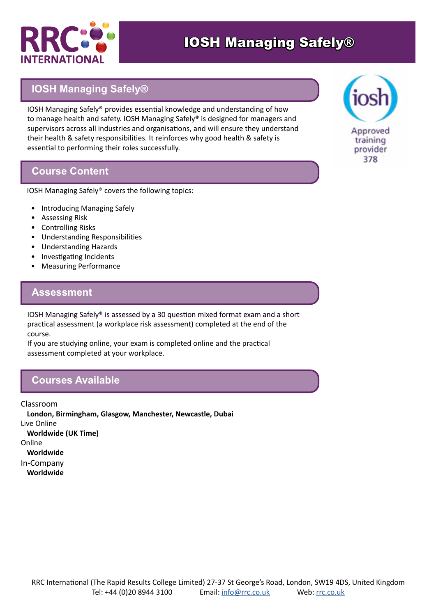

# **IOSH Managing Safely®**

IOSH Managing Safely® provides essential knowledge and understanding of how to manage health and safety. IOSH Managing Safely® is designed for managers and supervisors across all industries and organisations, and will ensure they understand their health & safety responsibilities. It reinforces why good health & safety is essential to performing their roles successfully.

#### **Course Content**

IOSH Managing Safely® covers the following topics:

- Introducing Managing Safely
- Assessing Risk
- Controlling Risks
- Understanding Responsibilities
- Understanding Hazards
- Investigating Incidents
- Measuring Performance

### **Assessment**

IOSH Managing Safely® is assessed by a 30 question mixed format exam and a short practical assessment (a workplace risk assessment) completed at the end of the course.

If you are studying online, your exam is completed online and the practical assessment completed at your workplace.

### **Courses Available**

Classroom **London, Birmingham, Glasgow, Manchester, Newcastle, Dubai** Live Online **Worldwide (UK Time)** Online **Worldwide** In-Company **Worldwide**